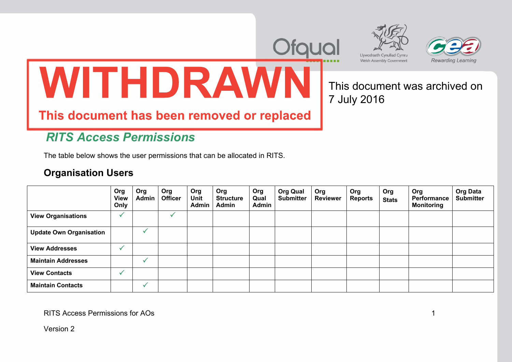



7 July 2016

This document was archived on



## **圀 吀 䠀 䐀 刀 䄀圀 一 i**

## This document has been removed or replaced **椀氀**

## *RITS Access Permissions*

The table below shows the user permissions that can be allocated in RITS.

## **Organisation Users**

|                                | Org<br><b>View</b><br>Only | Org<br>Admin | Org<br><b>Officer</b> | Org<br>Unit<br><b>Admin</b> | Org<br><b>Structure</b><br>Admin | Org<br>Qual<br><b>Admin</b> | <b>Org Qual</b><br><b>Submitter</b> | Org<br><b>Reviewer</b> | Org<br><b>Reports</b> | Org<br><b>Stats</b> | Org<br>Performance<br><b>Monitoring</b> | <b>Org Data</b><br><b>Submitter</b> |
|--------------------------------|----------------------------|--------------|-----------------------|-----------------------------|----------------------------------|-----------------------------|-------------------------------------|------------------------|-----------------------|---------------------|-----------------------------------------|-------------------------------------|
| <b>View Organisations</b>      |                            |              |                       |                             |                                  |                             |                                     |                        |                       |                     |                                         |                                     |
| <b>Update Own Organisation</b> |                            |              |                       |                             |                                  |                             |                                     |                        |                       |                     |                                         |                                     |
| <b>View Addresses</b>          |                            |              |                       |                             |                                  |                             |                                     |                        |                       |                     |                                         |                                     |
| <b>Maintain Addresses</b>      |                            |              |                       |                             |                                  |                             |                                     |                        |                       |                     |                                         |                                     |
| <b>View Contacts</b>           |                            |              |                       |                             |                                  |                             |                                     |                        |                       |                     |                                         |                                     |
| <b>Maintain Contacts</b>       |                            |              |                       |                             |                                  |                             |                                     |                        |                       |                     |                                         |                                     |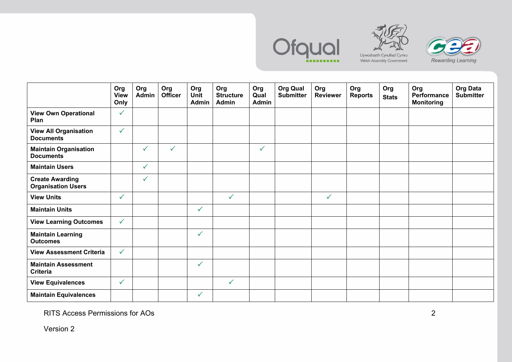





**Org View Only Org Admin Org Officer Org Unit AdminOrg Structure Admin Org Qual AdminOrg Qual Submitter Org Reviewer Org Reports Org Stats Org Performance Monitoring Org Data Submitter View Own Operational Plan**   $\checkmark$ **View All Organisation Documents**  $\checkmark$ **Maintain Organisation Documents**  $\checkmark$  $\checkmark$  $\checkmark$ **Maintain Users**  $\checkmark$ **Create Awarding Organisation Users**   $\checkmark$ **View Units**   $\checkmark$  $\checkmark$  $\checkmark$ **Maintain Units**   $\checkmark$ **View Learning Outcomes**   $\checkmark$ **Maintain Learning Outcomes**  $\checkmark$ **View Assessment Criteria**  $\checkmark$ **Maintain Assessment Criteria**   $\checkmark$ **View Equivalences**   $\checkmark$  $\checkmark$ **Maintain Equivalences**   $\checkmark$ 

RITS Access Permissions for AOs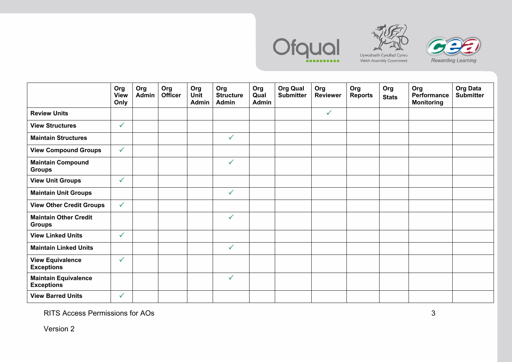





**Org View Only Org Admin Org Officer Org Unit AdminOrg Structure Admin Org Qual AdminOrg Qual Submitter Org Reviewer Org Reports Org Stats Org Performance Monitoring Org Data Submitter Review Units**  $\checkmark$ **View Structures**  $\checkmark$ **Maintain Structures**  $\checkmark$ **View Compound Groups**   $\checkmark$ **Maintain Compound Groups**   $\checkmark$ **View Unit Groups**   $\checkmark$ **Maintain Unit Groups**   $\checkmark$ **View Other Credit Groups**   $\checkmark$ **Maintain Other Credit Groups**   $\checkmark$ **View Linked Units**  $\checkmark$ **Maintain Linked Units**   $\checkmark$ **View Equivalence Exceptions**   $\checkmark$ **Maintain Equivalence Exceptions**   $\checkmark$ **View Barred Units**   $\checkmark$ 

RITS Access Permissions for AOs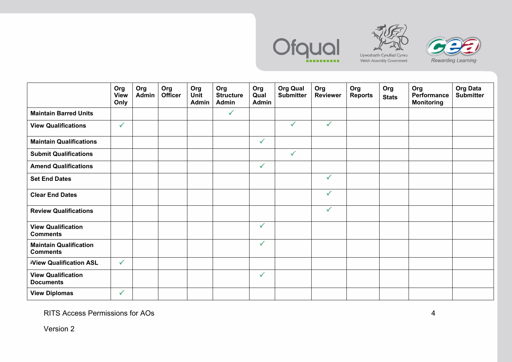





**Org View Only Org Admin Org Officer Org Unit AdminOrg Structure Admin Org Qual AdminOrg Qual Submitter Org Reviewer Org Reports Org Stats Org Performance Monitoring Org Data Submitter Maintain Barred Units**  $\checkmark$ **View Qualifications**   $\checkmark$  $\checkmark$  $\checkmark$ **Maintain Qualifications**   $\checkmark$ **Submit Qualifications**   $\checkmark$ **Amend Qualifications**   $\checkmark$ **Set End Dates**   $\checkmark$ **Clear End Dates**  $\checkmark$ **Review Qualifications**   $\checkmark$ **View Qualification Comments**  $\checkmark$ **Maintain Qualification Comments**   $\checkmark$ ف**View Qualification ASL**   $\checkmark$ **View Qualification Documents**   $\checkmark$ **View Diplomas**   $\checkmark$